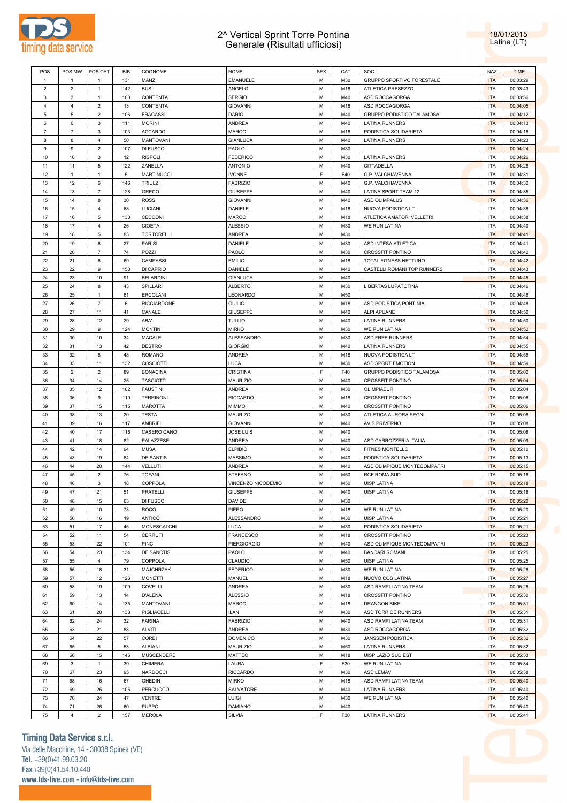

## 2^ Vertical Sprint Torre Pontina Generale (Risultati ufficiosi)

18/01/2015 Latina (LT)

| POS                 | POS MW                    | POS CAT                       | <b>BIB</b> | <b>COGNOME</b>                     | <b>NOME</b>                  | <b>SEX</b> | CAT        | SOC                                                  | <b>NAZ</b>               | <b>TIME</b>          |
|---------------------|---------------------------|-------------------------------|------------|------------------------------------|------------------------------|------------|------------|------------------------------------------------------|--------------------------|----------------------|
| $\mathbf{1}$        | $\overline{1}$            | $\mathbf{1}$                  | 131        | MANZI                              | EMANUELE                     | М          | M30        | GRUPPO SPORTIVO FORESTALE                            | <b>ITA</b>               | 00:03:29             |
| $\overline{2}$      | $\overline{2}$            | $\mathbf{1}$                  | 142        | <b>BUSI</b>                        | ANGELO                       | М          | M18        | ATLETICA PRESEZZO                                    | <b>ITA</b>               | 00:03:43             |
| 3                   | 3                         | $\mathbf{1}$                  | 100        | CONTENTA                           | <b>SERGIO</b>                | М          | M40        | ASD ROCCAGORGA                                       | <b>ITA</b>               | 00:03:56             |
| 4                   | $\overline{4}$            | $\sqrt{2}$                    | 13         | CONTENTA                           | <b>GIOVANNI</b>              | М          | M18        | ASD ROCCAGORGA                                       | <b>ITA</b>               | 00:04:05             |
| 5                   | $\,$ 5 $\,$               | $\sqrt{2}$                    | 106        | <b>FRACASSI</b>                    | <b>DARIO</b>                 | М          | M40        | GRUPPO PODISTICO TALAMOSA                            | <b>ITA</b>               | 00:04:12             |
| 6<br>$\overline{7}$ | $\,6\,$<br>$\overline{7}$ | $\mathsf 3$                   | 111        | <b>MORINI</b>                      | ANDREA<br>MARCO              | М<br>М     | M40        | <b>LATINA RUNNERS</b>                                | <b>ITA</b>               | 00:04:13             |
| 8                   | 8                         | $\mathsf 3$<br>$\overline{4}$ | 103<br>50  | <b>ACCARDO</b><br><b>MANTOVANI</b> | <b>GIANLUCA</b>              | М          | M18<br>M40 | PODISTICA SOLIDARIETA'<br><b>LATINA RUNNERS</b>      | <b>ITA</b><br><b>ITA</b> | 00:04:18<br>00:04:23 |
| 9                   | $\mathsf g$               | $\overline{2}$                | 107        | DI FUSCO                           | PAOLO                        | М          | M30        |                                                      | <b>ITA</b>               | 00:04:24             |
| 10                  | 10                        | $\mathsf 3$                   | 12         | <b>RISPOLI</b>                     | <b>FEDERICO</b>              | М          | M30        | <b>LATINA RUNNERS</b>                                | <b>ITA</b>               | 00:04:26             |
| 11                  | 11                        | 5                             | 122        | ZANELLA                            | <b>ANTONIO</b>               | М          | M40        | CITTADELLA                                           | <b>ITA</b>               | 00:04:28             |
| 12                  | $\mathbf{1}$              | $\mathbf{1}$                  | 5          | <b>MARTINUCCI</b>                  | <b>IVONNE</b>                | F          | F40        | G.P. VALCHIAVENNA                                    | <b>ITA</b>               | 00:04:31             |
| 13                  | 12                        | 6                             | 146        | <b>TRIULZI</b>                     | <b>FABRIZIO</b>              | М          | M40        | G.P. VALCHIAVENNA                                    | <b>ITA</b>               | 00:04:32             |
| 14                  | 13                        | $\overline{7}$                | 128        | GRECO                              | GIUSEPPE                     | М          | M40        | LATINA SPORT TEAM 12                                 | <b>ITA</b>               | 00:04:35             |
| 15                  | 14                        | 8                             | 30         | <b>ROSSI</b>                       | <b>GIOVANNI</b>              | М          | M40        | ASD OLIMPALUS                                        | <b>ITA</b>               | 00:04:36             |
| 16                  | 15                        | $\overline{4}$                | 68         | LUCIANI                            | DANIELE                      | М          | M18        | NUOVA PODISTICA LT                                   | <b>ITA</b>               | 00:04:38             |
| 17                  | 16                        | 5                             | 133        | CECCONI                            | <b>MARCO</b>                 | М          | M18        | ATLETICA AMATORI VELLETRI                            | <b>ITA</b>               | 00:04:38             |
| 18                  | 17                        | $\overline{4}$                | 26         | <b>CIOETA</b>                      | <b>ALESSIO</b>               | М          | M30        | WE RUN LATINA                                        | <b>ITA</b>               | 00:04:40             |
| 19                  | 18                        | 5                             | 83         | <b>TORTORELLI</b>                  | <b>ANDREA</b>                | М          | M30        |                                                      | <b>ITA</b>               | 00:04:41             |
| 20                  | 19                        | 6                             | 27         | <b>PARISI</b>                      | DANIELE                      | М          | M30        | ASD INTESA ATLETICA                                  | <b>ITA</b>               | 00:04:41             |
| 21                  | 20                        | $\overline{7}$                | 74         | POZZI                              | PAOLO                        | М          | M30        | <b>CROSSFIT PONTINO</b>                              | <b>ITA</b>               | 00:04:42             |
| 22                  | 21                        | 6                             | 69         | CAMPASSI                           | <b>EMILIO</b>                | М          | M18        | TOTAL FITNESS NETTUNO                                | <b>ITA</b>               | 00:04:42             |
| 23                  | 22                        | 9                             | 150        | DI CAPRIO                          | DANIELE                      | М          | M40        | CASTELLI ROMANI TOP RUNNERS                          | <b>ITA</b>               | 00:04:43             |
| 24                  | 23                        | 10                            | 91         | <b>BELARDINI</b>                   | <b>GIANLUCA</b>              | М          | M40        |                                                      | <b>ITA</b>               | 00:04:45             |
| 25                  | 24                        | 8                             | 43         | SPILLARI                           | <b>ALBERTO</b>               | М          | M30        | LIBERTAS LUPATOTINA                                  | <b>ITA</b>               | 00:04:46             |
| 26                  | 25                        | $\mathbf{1}$                  | 61         | <b>ERCOLANI</b>                    | LEONARDO                     | М          | M50        |                                                      | <b>ITA</b>               | 00:04:46             |
| 27                  | 26                        | $\overline{7}$                | 6          | <b>RICCIARDONE</b>                 | <b>GIULIO</b>                | М          | M18        | ASD PODISTICA PONTINIA                               | <b>ITA</b>               | 00:04:48             |
| 28                  | 27                        | 11                            | 41         | CANALE                             | GIUSEPPE                     | М          | M40        | ALPI APUANE                                          | <b>ITA</b>               | 00:04:50             |
| 29                  | 28                        | 12                            | 29         | ABA'                               | <b>TULLIO</b>                | М          | M40        | <b>LATINA RUNNERS</b>                                | <b>ITA</b>               | 00:04:50             |
| 30                  | 29                        | 9                             | 124        | <b>MONTIN</b>                      | <b>MIRKO</b>                 | М          | M30        | WE RUN LATINA                                        | <b>ITA</b>               | 00:04:52             |
| 31<br>32            | 30<br>31                  | 10<br>13                      | 34<br>42   | MACALE<br><b>DESTRO</b>            | ALESSANDRO<br><b>GIORGIO</b> | М<br>М     | M30<br>M40 | ASD FREE RUNNERS                                     | <b>ITA</b><br><b>ITA</b> | 00:04:54<br>00:04:55 |
| 33                  | 32                        | 8                             | 48         | <b>ROMANO</b>                      | ANDREA                       | М          | M18        | <b>LATINA RUNNERS</b><br>NUOVA PODISTICA LT          | <b>ITA</b>               | 00:04:58             |
| 34                  | 33                        | 11                            | 132        | COSCIOTTI                          | LUCA                         | М          | M30        | ASD SPORT EMOTION                                    | <b>ITA</b>               | 00:04:59             |
| 35                  | $\overline{2}$            | $\overline{2}$                | 89         | <b>BONACINA</b>                    | CRISTINA                     | F          | F40        | GRUPPO PODISTICO TALAMOSA                            | <b>ITA</b>               | 00:05:02             |
| 36                  | 34                        | 14                            | 25         | <b>TASCIOTTI</b>                   | MAURIZIO                     | М          | M40        | <b>CROSSFIT PONTINO</b>                              | <b>ITA</b>               | 00:05:04             |
| 37                  | 35                        | 12                            | 102        | <b>FAUSTINI</b>                    | ANDREA                       | М          | M30        | OLIMPIAEUR                                           | <b>ITA</b>               | 00:05:04             |
| 38                  | 36                        | 9                             | 110        | <b>TERRINONI</b>                   | <b>RICCARDO</b>              | М          | M18        | <b>CROSSFIT PONTINO</b>                              | <b>ITA</b>               | 00:05:06             |
| 39                  | 37                        | 15                            | 115        | <b>MAROTTA</b>                     | <b>MIMMO</b>                 | М          | M40        | <b>CROSSFIT PONTINO</b>                              | <b>ITA</b>               | 00:05:06             |
| 40                  | 38                        | 13                            | 20         | <b>TESTA</b>                       | <b>MAURIZO</b>               | М          | M30        | ATLETICA AURORA SEGNI                                | <b>ITA</b>               | 00:05:08             |
| 41                  | 39                        | 16                            | 117        | AMBRIFI                            | <b>GIOVANNI</b>              | М          | M40        | <b>AVIS PRIVERNO</b>                                 | <b>ITA</b>               | 00:05:08             |
| 42                  | 40                        | 17                            | 116        | CASERO CANO                        | <b>JOSE LUIS</b>             | М          | M40        |                                                      | <b>ITA</b>               | 00:05:08             |
| 43                  | 41                        | 18                            | 82         | PALAZZESE                          | <b>ANDREA</b>                | М          | M40        | ASD CARROZZERIA ITALIA                               | <b>ITA</b>               | 00:05:09             |
| 44                  | 42                        | 14                            | 94         | <b>MUSA</b>                        | <b>ELPIDIO</b>               | М          | M30        | FITNES MONTELLO                                      | <b>ITA</b>               | 00:05:10             |
| 45                  | 43                        | 19                            | 84         | DE SANTIS                          | <b>MASSIMO</b>               | М          | M40        | PODISTICA SOLIDARIETA'                               | <b>ITA</b>               | 00:05:13             |
| 46                  | 44                        | 20                            | 144        | VELLUTI                            | <b>ANDREA</b>                | М          | M40        | ASD OLIMPIQUE MONTECOMPATRI                          | <b>ITA</b>               | 00:05:15             |
| 47                  | 45                        | $\overline{2}$                | 76         | <b>TOFANI</b>                      | <b>STEFANO</b>               | М          | M50        | <b>RCF ROMA SUD</b>                                  | <b>ITA</b>               | 00:05:16             |
| 48                  | 46                        | $\mathbf{3}$                  | 18         | COPPOLA                            | VINCENZO NICODEMIO           | М          | M50        | <b>UISP LATINA</b>                                   | <b>ITA</b>               | 00:05:18             |
| 49                  | 47                        | 21                            | 51         | PRATELLI                           | <b>GIUSEPPE</b>              | М          | M40        | <b>UISP LATINA</b>                                   | <b>ITA</b>               | 00:05:18             |
| 50                  | 48                        | 15                            | 63         | DI FUSCO                           | DAVIDE                       | М          | M30        |                                                      | <b>ITA</b>               | 00:05:20             |
| 51                  | 49                        | 10                            | 73         | ROCO                               | PIERO                        | М          | M18        | WE RUN LATINA                                        | <b>ITA</b>               | 00:05:20             |
| 52                  | 50                        | 16                            | 19         | ANTICO                             | ALESSANDRO                   | М          | M30        | <b>UISP LATINA</b>                                   | <b>ITA</b>               | 00:05:21             |
| 53                  | 51                        | 17                            | 45         | MONESCALCHI                        | LUCA                         | М          | M30        | PODISTICA SOLIDARIETA'                               | <b>ITA</b>               | 00:05:21             |
| 54                  | 52                        | 11                            | 54         | <b>CERRUTI</b>                     | <b>FRANCESCO</b>             | М<br>М     | M18        | CROSSFIT PONTINO                                     | <b>ITA</b>               | 00:05:23             |
| 55<br>56            | 53<br>54                  | 22<br>23                      | 101<br>134 | PINCI<br>DE SANCTIS                | PIERGIORGIO<br>PAOLO         | М          | M40<br>M40 | ASD OLIMPIQUE MONTECOMPATRI<br><b>BANCARI ROMANI</b> | <b>ITA</b><br><b>ITA</b> | 00:05:23<br>00:05:25 |
| 57                  | 55                        | $\overline{4}$                | 79         | COPPOLA                            | CLAUDIO                      | М          | M50        | <b>UISP LATINA</b>                                   | <b>ITA</b>               | 00:05:25             |
| 58                  | 56                        | 18                            | 31         | MAJCHRZAK                          | <b>FEDERICO</b>              | М          | M30        | WE RUN LATINA                                        | <b>ITA</b>               | 00:05:26             |
| 59                  | 57                        | 12                            | 126        | <b>MONETTI</b>                     | MANUEL                       | М          | M18        | NUOVO COS LATINA                                     | <b>ITA</b>               | 00:05:27             |
| 60                  | 58                        | 19                            | 109        | COVELLI                            | ANDREA                       | М          | M30        | ASD RAMPI LATINA TEAM                                | <b>ITA</b>               | 00:05:28             |
| 61                  | 59                        | 13                            | 14         | <b>D'ALENA</b>                     | <b>ALESSIO</b>               | М          | M18        | CROSSFIT PONTINO                                     | <b>ITA</b>               | 00:05:30             |
| 62                  | 60                        | 14                            | 135        | <b>MANTOVANI</b>                   | MARCO                        | М          | M18        | <b>DRANGON BIKE</b>                                  | <b>ITA</b>               | 00:05:31             |
| 63                  | 61                        | 20                            | 138        | PIGLIACELLI                        | <b>ILAN</b>                  | М          | M30        | ASD TORRICE RUNNERS                                  | <b>ITA</b>               | 00:05:31             |
| 64                  | 62                        | 24                            | 32         | <b>FARINA</b>                      | <b>FABRIZIO</b>              | М          | M40        | ASD RAMPI LATINA TEAM                                | <b>ITA</b>               | 00:05:31             |
| 65                  | 63                        | 21                            | 88         | <b>ALVITI</b>                      | ANDREA                       | М          | M30        | ASD ROCCAGORGA                                       | <b>ITA</b>               | 00:05:32             |
| 66                  | 64                        | 22                            | 57         | CORBI                              | <b>DOMENICO</b>              | М          | M30        | JANSSEN PODISTICA                                    | <b>ITA</b>               | 00:05:32             |
| 67                  | 65                        | $\,$ 5 $\,$                   | 53         | ALBIANI                            | MAURIZIO                     | М          | M50        | <b>LATINA RUNNERS</b>                                | <b>ITA</b>               | 00:05:32             |
| 68                  | 66                        | 15                            | 145        | MUSCENDERE                         | MATTEO                       | М          | M18        | UISP LAZIO SUD EST                                   | <b>ITA</b>               | 00:05:33             |
| 69                  | $\mathsf 3$               | $\mathbf{1}$                  | 39         | CHIMERA                            | LAURA                        | F          | F30        | WE RUN LATINA                                        | <b>ITA</b>               | 00:05:34             |
| 70                  | 67                        | 23                            | 95         | NARDOCCI                           | RICCARDO                     | М          | M30        | <b>ASD LEMAV</b>                                     | <b>ITA</b>               | 00:05:38             |
| 71                  | 68                        | 16                            | 67         | GHEDIN                             | <b>MIRKO</b>                 | М          | M18        | ASD RAMPI LATINA TEAM                                | <b>ITA</b>               | 00:05:40             |
| 72                  | 69                        | 25                            | 105        | PERCUOCO                           | SALVATORE                    | М          | M40        | <b>LATINA RUNNERS</b>                                | ITA                      | 00:05:40             |
| 73                  | 70                        | 24                            | 47         | <b>VENTRE</b>                      | LUIGI                        | М          | M30        | WE RUN LATINA                                        | <b>ITA</b>               | 00:05:40             |
| 74                  | 71                        | 26                            | 60         | <b>PUPPO</b>                       | <b>DAMIANO</b>               | М          | M40        |                                                      | <b>ITA</b>               | 00:05:40             |
| 75                  | $\overline{4}$            | $\sqrt{2}$                    | 157        | <b>MEROLA</b>                      | SILVIA                       | F          | F30        | <b>LATINA RUNNERS</b>                                | <b>ITA</b>               | 00:05:41             |

## **Timing Data Service s.r.l.**

Via delle Macchine, 14 - 30038 Spinea (VE) Tel. +39(0)41.99.03.20 Fax +39(0)41.54.10.440 www.tds-live.com - info@tds-live.com